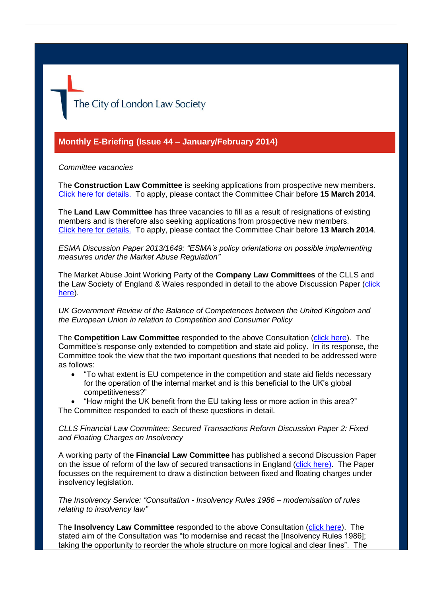# The City of London Law Society

# **Monthly E-Briefing (Issue 44 – January/February 2014)**

#### *Committee vacancies*

The **Construction Law Committee** is seeking applications from prospective new members. [Click here](http://www.citysolicitors.org.uk/attachments/category/117/Construction%20Law%20Committee%20vacancy.pdf) for details. To apply, please contact the Committee Chair before **15 March 2014**.

The **Land Law Committee** has three vacancies to fill as a result of resignations of existing members and is therefore also seeking applications from prospective new members. [Click here](http://www.citysolicitors.org.uk/attachments/article/114/20140221%204030021v1-Land%20Law%20Committee%20-%20Vacancies-LWDLIB03.pdf) for details. To apply, please contact the Committee Chair before **13 March 2014**.

*ESMA Discussion Paper 2013/1649: "ESMA's policy orientations on possible implementing measures under the Market Abuse Regulation"*

The Market Abuse Joint Working Party of the **Company Law Committees** of the CLLS and the Law Society of England & Wales responded in detail to the above Discussion Paper [\(click](http://www.citysolicitors.org.uk/attachments/category/114/20140204%20Response%20to%20DP%202013-1649%20519216119_1%20(2).pdf)  [here\)](http://www.citysolicitors.org.uk/attachments/category/114/20140204%20Response%20to%20DP%202013-1649%20519216119_1%20(2).pdf).

*UK Government Review of the Balance of Competences between the United Kingdom and the European Union in relation to Competition and Consumer Policy*

The **Competition Law Committee** responded to the above Consultation [\(click here\)](http://www.citysolicitors.org.uk/attachments/category/108/20140121%20Response%20to%20UK%20Government%20Review%20of%20the%20Balance%20of%20Competences%20between%20the%20United%20Kingdom%20and%20the%20European%20Union%20in%20relation%20to%20Competition%20and%20Consu.pdf). The Committee's response only extended to competition and state aid policy. In its response, the Committee took the view that the two important questions that needed to be addressed were as follows:

- "To what extent is EU competence in the competition and state aid fields necessary for the operation of the internal market and is this beneficial to the UK's global competitiveness?"
- "How might the UK benefit from the EU taking less or more action in this area?" The Committee responded to each of these questions in detail.

*CLLS Financial Law Committee: Secured Transactions Reform Discussion Paper 2: Fixed and Floating Charges on Insolvency*

A working party of the **Financial Law Committee** has published a second Discussion Paper on the issue of reform of the law of secured transactions in England [\(click here\)](http://www.citysolicitors.org.uk/attachments/article/121/20140219%20Secured%20Transactions%20Reform%20Discussion%20Paper%202%20Fixed%20and%20floating%20charges%20v2.pdf). The Paper focusses on the requirement to draw a distinction between fixed and floating charges under insolvency legislation.

*The Insolvency Service: "Consultation - Insolvency Rules 1986 – modernisation of rules relating to insolvency law"*

The **Insolvency Law Committee** responded to the above Consultation [\(click here\)](http://www.citysolicitors.org.uk/attachments/article/119/20140206%20Response%20to%20The%20Insolvency%20Service%20consultation%20). The stated aim of the Consultation was "to modernise and recast the [Insolvency Rules 1986]; taking the opportunity to reorder the whole structure on more logical and clear lines". The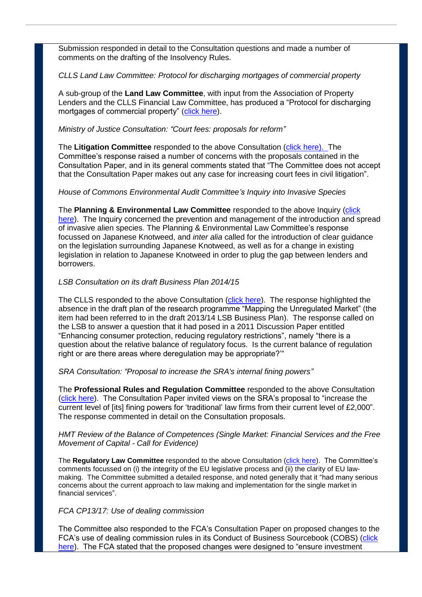Submission responded in detail to the Consultation questions and made a number of comments on the drafting of the Insolvency Rules.

## *CLLS Land Law Committee: Protocol for discharging mortgages of commercial property*

A sub-group of the **Land Law Committee**, with input from the Association of Property Lenders and the CLLS Financial Law Committee, has produced a "Protocol for discharging mortgages of commercial property" [\(click here\)](http://www.citysolicitors.org.uk/index.php?option=com_content&view=category&id=141&Itemid=469).

## *Ministry of Justice Consultation: "Court fees: proposals for reform"*

The **Litigation Committee** responded to the above Consultation [\(click here\)](http://www.citysolicitors.org.uk/attachments/article/112/20140130%20CLLS%20response%20to%20MoJ%20Consultation%20Paper%20Court%20Fees%20Proposals%20for%20Reform%2035243-5-111%20v0%201%20(5).pdf). The Committee's response raised a number of concerns with the proposals contained in the Consultation Paper, and in its general comments stated that "The Committee does not accept that the Consultation Paper makes out any case for increasing court fees in civil litigation".

## *House of Commons Environmental Audit Committee's Inquiry into Invasive Species*

The **Planning & Environmental Law Committee** responded to the above Inquiry [\(click](http://www.citysolicitors.org.uk/attachments/article/109/20140109%20CLLS%20repsonse%20to%20Environmental%20Audit%20Committee%20-%20Inquiry%20on%20Invasive%20Species%20(final).pdf)  [here\)](http://www.citysolicitors.org.uk/attachments/article/109/20140109%20CLLS%20repsonse%20to%20Environmental%20Audit%20Committee%20-%20Inquiry%20on%20Invasive%20Species%20(final).pdf). The Inquiry concerned the prevention and management of the introduction and spread of invasive alien species. The Planning & Environmental Law Committee's response focussed on Japanese Knotweed, and *inter alia* called for the introduction of clear guidance on the legislation surrounding Japanese Knotweed, as well as for a change in existing legislation in relation to Japanese Knotweed in order to plug the gap between lenders and borrowers.

## *LSB Consultation on its draft Business Plan 2014/15*

The CLLS responded to the above Consultation [\(click here\)](http://www.citysolicitors.org.uk/attachments/article/108/20140130%20CLLS%20response%20to%20LSB%20Consultation%20Paper%20). The response highlighted the absence in the draft plan of the research programme "Mapping the Unregulated Market" (the item had been referred to in the draft 2013/14 LSB Business Plan). The response called on the LSB to answer a question that it had posed in a 2011 Discussion Paper entitled "Enhancing consumer protection, reducing regulatory restrictions", namely "there is a question about the relative balance of regulatory focus. Is the current balance of regulation right or are there areas where deregulation may be appropriate?'"

#### *SRA Consultation: "Proposal to increase the SRA's internal fining powers"*

The **Professional Rules and Regulation Committee** responded to the above Consultation [\(click here\)](http://www.citysolicitors.org.uk/attachments/article/108/20140206%20CLLS%20response%20to%20SRA%20consultation%20). The Consultation Paper invited views on the SRA's proposal to "increase the current level of [its] fining powers for 'traditional' law firms from their current level of £2,000". The response commented in detail on the Consultation proposals.

## *HMT Review of the Balance of Competences (Single Market: Financial Services and the Free Movement of Capital - Call for Evidence)*

The **Regulatory Law Committee** responded to the above Consultation [\(click here\)](http://www.citysolicitors.org.uk/attachments/article/106/20140217%20-v6-CLLSR_-_Response_to_HMT_Review_of_the_Balance_of_Compet.pdf). The Committee's comments focussed on (i) the integrity of the EU legislative process and (ii) the clarity of EU lawmaking. The Committee submitted a detailed response, and noted generally that it "had many serious concerns about the current approach to law making and implementation for the single market in financial services".

#### *FCA CP13/17: Use of dealing commission*

The Committee also responded to the FCA's Consultation Paper on proposed changes to the FCA's use of dealing commission rules in its Conduct of Business Sourcebook (COBS) (click [here\)](http://www.citysolicitors.org.uk/attachments/article/106/20140226%20CLLS%20Response%20to%20FCA%20CP13%2017%20on%20the%20use%20of%20dealing%20commission%20rules.pdf). The FCA stated that the proposed changes were designed to "ensure investment"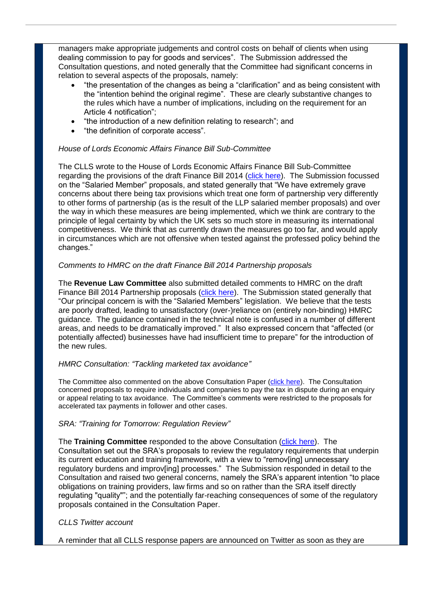managers make appropriate judgements and control costs on behalf of clients when using dealing commission to pay for goods and services". The Submission addressed the Consultation questions, and noted generally that the Committee had significant concerns in relation to several aspects of the proposals, namely:

- "the presentation of the changes as being a "clarification" and as being consistent with the "intention behind the original regime". These are clearly substantive changes to the rules which have a number of implications, including on the requirement for an Article 4 notification";
- "the introduction of a new definition relating to research"; and
- "the definition of corporate access".

## *House of Lords Economic Affairs Finance Bill Sub-Committee*

The CLLS wrote to the House of Lords Economic Affairs Finance Bill Sub-Committee regarding the provisions of the draft Finance Bill 2014 [\(click here\)](http://www.citysolicitors.org.uk/attachments/article/105/20140205%20CLLS%20partnership%20submission%20(final).pdf). The Submission focussed on the "Salaried Member" proposals, and stated generally that "We have extremely grave concerns about there being tax provisions which treat one form of partnership very differently to other forms of partnership (as is the result of the LLP salaried member proposals) and over the way in which these measures are being implemented, which we think are contrary to the principle of legal certainty by which the UK sets so much store in measuring its international competitiveness. We think that as currently drawn the measures go too far, and would apply in circumstances which are not offensive when tested against the professed policy behind the changes."

## *Comments to HMRC on the draft Finance Bill 2014 Partnership proposals*

The **Revenue Law Committee** also submitted detailed comments to HMRC on the draft Finance Bill 2014 Partnership proposals [\(click here\)](http://www.citysolicitors.org.uk/attachments/article/105/20140210%20Revenue%20Law%20Committee%20comments%20on%20draft%20Finance%20Bill%202014%20Partnership%20proposals.pdf). The Submission stated generally that "Our principal concern is with the "Salaried Members" legislation. We believe that the tests are poorly drafted, leading to unsatisfactory (over-)reliance on (entirely non-binding) HMRC guidance. The guidance contained in the technical note is confused in a number of different areas, and needs to be dramatically improved." It also expressed concern that "affected (or potentially affected) businesses have had insufficient time to prepare" for the introduction of the new rules.

#### *HMRC Consultation: "Tackling marketed tax avoidance"*

The Committee also commented on the above Consultation Paper [\(click here\)](http://www.citysolicitors.org.uk/attachments/article/105/20140303%20Response%20to%20HMRC%20consultation%20). The Consultation concerned proposals to require individuals and companies to pay the tax in dispute during an enquiry or appeal relating to tax avoidance. The Committee's comments were restricted to the proposals for accelerated tax payments in follower and other cases.

#### *SRA: "Training for Tomorrow: Regulation Review"*

The **Training Committee** responded to the above Consultation [\(click here\)](http://www.citysolicitors.org.uk/attachments/article/104/20140224%20CLLS%20Response%20to%20SRA%20Training%20for%20Tomorrow%20Regulation%20Review%20Co%20%20%20.pdf). The Consultation set out the SRA's proposals to review the regulatory requirements that underpin its current education and training framework, with a view to "remov[ing] unnecessary regulatory burdens and improv[ing] processes." The Submission responded in detail to the Consultation and raised two general concerns, namely the SRA's apparent intention "to place obligations on training providers, law firms and so on rather than the SRA itself directly regulating "quality""; and the potentially far-reaching consequences of some of the regulatory proposals contained in the Consultation Paper.

#### *CLLS Twitter account*

A reminder that all CLLS response papers are announced on Twitter as soon as they are